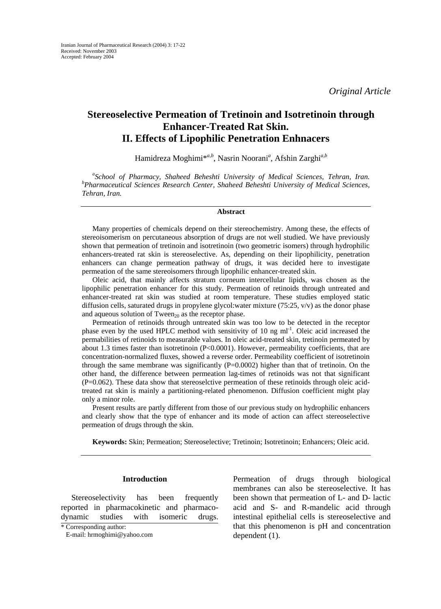*Original Article* 

# **Stereoselective Permeation of Tretinoin and Isotretinoin through Enhancer-Treated Rat Skin. II. Effects of Lipophilic Penetration Enhnacers**

Hamidreza Moghimi\**a,b* , Nasrin Noorani*<sup>a</sup>* , Afshin Zarghi*a,b*

<sup>a</sup> School of Pharmacy, Shaheed Beheshti University of Medical Sciences, Tehran, Iran.<br><sup>b</sup> Pharmaceutical Sciences Bessameb Center, Shaheed Beheshti University of Medical Sciences. *Pharmaceutical Sciences Research Center, Shaheed Beheshti University of Medical Sciences, Tehran, Iran.*

### **Abstract**

Many properties of chemicals depend on their stereochemistry. Among these, the effects of stereoisomerism on percutaneous absorption of drugs are not well studied. We have previously shown that permeation of tretinoin and isotretinoin (two geometric isomers) through hydrophilic enhancers-treated rat skin is stereoselective. As, depending on their lipophilicity, penetration enhancers can change permeation pathway of drugs, it was decided here to investigate permeation of the same stereoisomers through lipophilic enhancer-treated skin.

Oleic acid, that mainly affects stratum corneum intercellular lipids, was chosen as the lipophilic penetration enhancer for this study. Permeation of retinoids through untreated and enhancer-treated rat skin was studied at room temperature. These studies employed static diffusion cells, saturated drugs in propylene glycol:water mixture (75:25, v/v) as the donor phase and aqueous solution of Tween<sub>20</sub> as the receptor phase.

Permeation of retinoids through untreated skin was too low to be detected in the receptor phase even by the used HPLC method with sensitivity of 10 ng ml<sup>-1</sup>. Oleic acid increased the permabilities of retinoids to measurable values. In oleic acid-treated skin, tretinoin permeated by about 1.3 times faster than isotretinoin (P<0.0001). However, permeability coefficients, that are concentration-normalized fluxes, showed a reverse order. Permeability coefficient of isotretinoin through the same membrane was significantly  $(P=0.0002)$  higher than that of tretinoin. On the other hand, the difference between permeation lag-times of retinoids was not that significant (P=0.062). These data show that stereoselctive permeation of these retinoids through oleic acidtreated rat skin is mainly a partitioning-related phenomenon. Diffusion coefficient might play only a minor role.

Present results are partly different from those of our previous study on hydrophilic enhancers and clearly show that the type of enhancer and its mode of action can affect stereoselective permeation of drugs through the skin.

**Keywords:** Skin; Permeation; Stereoselective; Tretinoin; Isotretinoin; Enhancers; Oleic acid.

### **Introduction**

Stereoselectivity has been frequently reported in pharmacokinetic and pharmacodynamic studies with isomeric drugs. Permeation of drugs through biological membranes can also be stereoselective. It has been shown that permeation of L- and D- lactic acid and S- and R-mandelic acid through intestinal epithelial cells is stereoselective and that this phenomenon is pH and concentration dependent (1).

<sup>\*</sup> Corresponding author:

E-mail: hrmoghimi@yahoo.com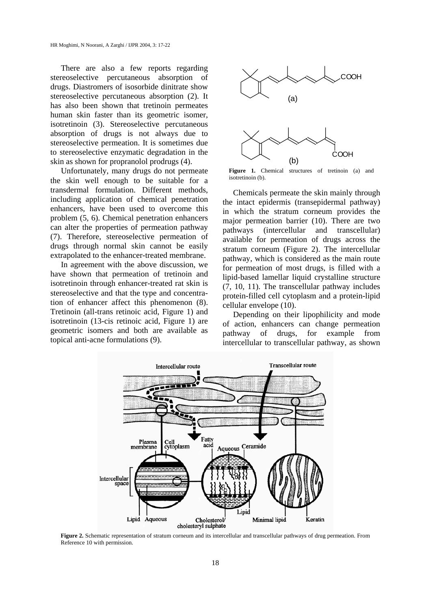There are also a few reports regarding stereoselective percutaneous absorption of drugs. Diastromers of isosorbide dinitrate show stereoselective percutaneous absorption (2). It has also been shown that tretinoin permeates human skin faster than its geometric isomer, isotretinoin (3). Stereoselective percutaneous absorption of drugs is not always due to stereoselective permeation. It is sometimes due to stereoselective enzymatic degradation in the skin as shown for propranolol prodrugs (4).

Unfortunately, many drugs do not permeate the skin well enough to be suitable for a transdermal formulation. Different methods, including application of chemical penetration enhancers, have been used to overcome this problem (5, 6). Chemical penetration enhancers can alter the properties of permeation pathway (7). Therefore, stereoselective permeation of drugs through normal skin cannot be easily extrapolated to the enhancer-treated membrane.

In agreement with the above discussion, we have shown that permeation of tretinoin and isotretinoin through enhancer-treated rat skin is stereoselective and that the type and concentration of enhancer affect this phenomenon (8). Tretinoin (all-trans retinoic acid, Figure 1) and isotretinoin (13-cis retinoic acid, Figure 1) are geometric isomers and both are available as topical anti-acne formulations (9).



**Figure 1.** Chemical structures of tretinoin (a) and isotretinoin (b).

Chemicals permeate the skin mainly through the intact epidermis (transepidermal pathway) in which the stratum corneum provides the major permeation barrier (10). There are two pathways (intercellular and transcellular) available for permeation of drugs across the stratum corneum (Figure 2). The intercellular pathway, which is considered as the main route for permeation of most drugs, is filled with a lipid-based lamellar liquid crystalline structure (7, 10, 11). The transcellular pathway includes protein-filled cell cytoplasm and a protein-lipid cellular envelope (10).

Depending on their lipophilicity and mode of action, enhancers can change permeation pathway of drugs, for example from intercellular to transcellular pathway, as shown



**Figure 2.** Schematic representation of stratum corneum and its intercellular and transcellular pathways of drug permeation. From Reference 10 with permission.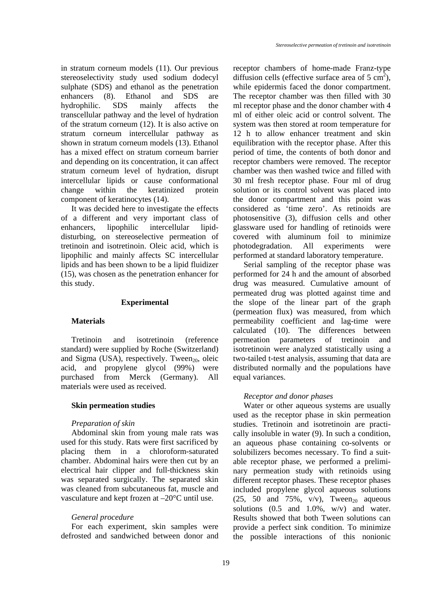in stratum corneum models (11). Our previous stereoselectivity study used sodium dodecyl sulphate (SDS) and ethanol as the penetration enhancers (8). Ethanol and SDS are hydrophilic. SDS mainly affects the transcellular pathway and the level of hydration of the stratum corneum (12). It is also active on stratum corneum intercellular pathway as shown in stratum corneum models (13). Ethanol has a mixed effect on stratum corneum barrier and depending on its concentration, it can affect stratum corneum level of hydration, disrupt intercellular lipids or cause conformational change within the keratinized protein component of keratinocytes (14).

It was decided here to investigate the effects of a different and very important class of enhancers, lipophilic intercellular lipiddisturbing, on stereoselective permeation of tretinoin and isotretinoin. Oleic acid, which is lipophilic and mainly affects SC intercellular lipids and has been shown to be a lipid fluidizer (15), was chosen as the penetration enhancer for this study.

#### **Experimental**

### **Materials**

Tretinoin and isotretinoin (reference standard) were supplied by Roche (Switzerland) and Sigma (USA), respectively. Tween $_{20}$ , oleic acid, and propylene glycol (99%) were purchased from Merck (Germany). All materials were used as received.

#### **Skin permeation studies**

#### *Preparation of skin*

Abdominal skin from young male rats was used for this study. Rats were first sacrificed by placing them in a chloroform-saturated chamber. Abdominal hairs were then cut by an electrical hair clipper and full-thickness skin was separated surgically. The separated skin was cleaned from subcutaneous fat, muscle and vasculature and kept frozen at –20°C until use.

#### *General procedure*

For each experiment, skin samples were defrosted and sandwiched between donor and receptor chambers of home-made Franz-type diffusion cells (effective surface area of 5 cm<sup>2</sup>), while epidermis faced the donor compartment. The receptor chamber was then filled with 30 ml receptor phase and the donor chamber with 4 ml of either oleic acid or control solvent. The system was then stored at room temperature for 12 h to allow enhancer treatment and skin equilibration with the receptor phase. After this period of time, the contents of both donor and receptor chambers were removed. The receptor chamber was then washed twice and filled with 30 ml fresh receptor phase. Four ml of drug solution or its control solvent was placed into the donor compartment and this point was considered as 'time zero'. As retinoids are photosensitive (3), diffusion cells and other glassware used for handling of retinoids were covered with aluminum foil to minimize photodegradation. All experiments were performed at standard laboratory temperature.

Serial sampling of the receptor phase was performed for 24 h and the amount of absorbed drug was measured. Cumulative amount of permeated drug was plotted against time and the slope of the linear part of the graph (permeation flux) was measured, from which permeability coefficient and lag-time were calculated (10). The differences between permeation parameters of tretinoin and isotretinoin were analyzed statistically using a two-tailed t-test analysis, assuming that data are distributed normally and the populations have equal variances.

#### *Receptor and donor phases*

Water or other aqueous systems are usually used as the receptor phase in skin permeation studies. Tretinoin and isotretinoin are practically insoluble in water (9). In such a condition, an aqueous phase containing co-solvents or solubilizers becomes necessary. To find a suitable receptor phase, we performed a preliminary permeation study with retinoids using different receptor phases. These receptor phases included propylene glycol aqueous solutions (25, 50 and 75%,  $v/v$ ), Tween<sub>20</sub> aqueous solutions  $(0.5 \text{ and } 1.0\%$ , w/v) and water. Results showed that both Tween solutions can provide a perfect sink condition. To minimize the possible interactions of this nonionic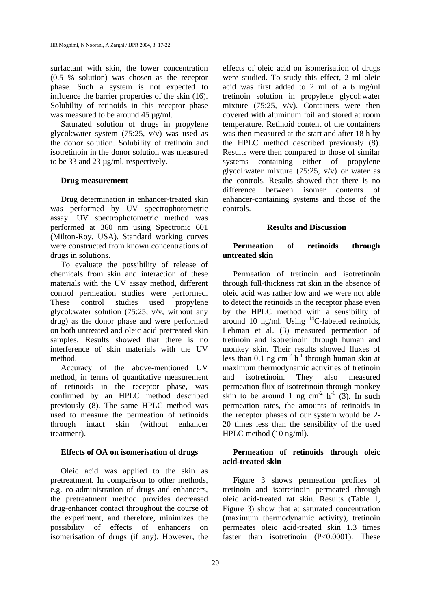surfactant with skin, the lower concentration (0.5 % solution) was chosen as the receptor phase. Such a system is not expected to influence the barrier properties of the skin (16). Solubility of retinoids in this receptor phase was measured to be around 45 µg/ml.

Saturated solution of drugs in propylene glycol:water system (75:25, v/v) was used as the donor solution. Solubility of tretinoin and isotretinoin in the donor solution was measured to be 33 and 23 µg/ml, respectively.

### **Drug measurement**

Drug determination in enhancer-treated skin was performed by UV spectrophotometric assay. UV spectrophotometric method was performed at 360 nm using Spectronic 601 (Milton-Roy, USA). Standard working curves were constructed from known concentrations of drugs in solutions.

To evaluate the possibility of release of chemicals from skin and interaction of these materials with the UV assay method, different control permeation studies were performed. These control studies used propylene glycol:water solution (75:25, v/v, without any drug) as the donor phase and were performed on both untreated and oleic acid pretreated skin samples. Results showed that there is no interference of skin materials with the UV method.

Accuracy of the above-mentioned UV method, in terms of quantitative measurement of retinoids in the receptor phase, was confirmed by an HPLC method described previously (8). The same HPLC method was used to measure the permeation of retinoids through intact skin (without enhancer treatment).

### **Effects of OA on isomerisation of drugs**

Oleic acid was applied to the skin as pretreatment. In comparison to other methods, e.g. co-administration of drugs and enhancers, the pretreatment method provides decreased drug-enhancer contact throughout the course of the experiment, and therefore, minimizes the possibility of effects of enhancers on isomerisation of drugs (if any). However, the effects of oleic acid on isomerisation of drugs were studied. To study this effect, 2 ml oleic acid was first added to 2 ml of a 6 mg/ml tretinoin solution in propylene glycol:water mixture (75:25, v/v). Containers were then covered with aluminum foil and stored at room temperature. Retinoid content of the containers was then measured at the start and after 18 h by the HPLC method described previously (8). Results were then compared to those of similar systems containing either of propylene glycol:water mixture (75:25, v/v) or water as the controls. Results showed that there is no difference between isomer contents of enhancer-containing systems and those of the controls.

### **Results and Discussion**

## **Permeation of retinoids through untreated skin**

Permeation of tretinoin and isotretinoin through full-thickness rat skin in the absence of oleic acid was rather low and we were not able to detect the retinoids in the receptor phase even by the HPLC method with a sensibility of around 10 ng/ml. Using  $^{14}$ C-labeled retinoids, Lehman et al. (3) measured permeation of tretinoin and isotretinoin through human and monkey skin. Their results showed fluxes of less than 0.1 ng cm<sup>-2</sup> h<sup>-1</sup> through human skin at maximum thermodynamic activities of tretinoin and isotretinoin. They also measured permeation flux of isotretinoin through monkey skin to be around 1 ng cm<sup>-2</sup> h<sup>-1</sup> (3). In such permeation rates, the amounts of retinoids in the receptor phases of our system would be 2- 20 times less than the sensibility of the used HPLC method (10 ng/ml).

## **Permeation of retinoids through oleic acid-treated skin**

Figure 3 shows permeation profiles of tretinoin and isotretinoin permeated through oleic acid-treated rat skin. Results (Table 1, Figure 3) show that at saturated concentration (maximum thermodynamic activity), tretinoin permeates oleic acid-treated skin 1.3 times faster than isotretinoin (P<0.0001). These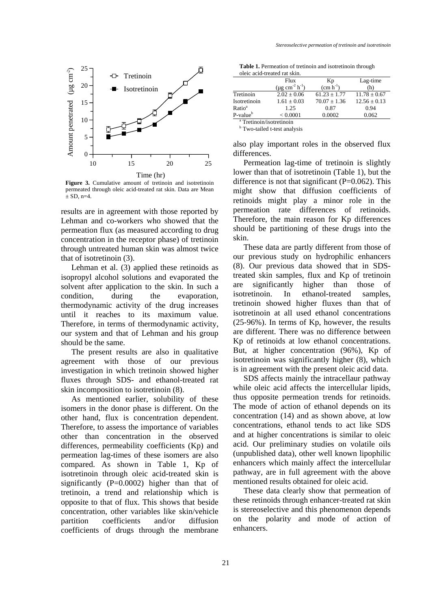

**Figure 3.** Cumulative amount of tretinoin and isotretinoin permeated through oleic acid-treated rat skin. Data are Mean  $\pm$  SD, n=4.

results are in agreement with those reported by Lehman and co-workers who showed that the permeation flux (as measured according to drug concentration in the receptor phase) of tretinoin through untreated human skin was almost twice that of isotretinoin (3).

Lehman et al. (3) applied these retinoids as isopropyl alcohol solutions and evaporated the solvent after application to the skin. In such a condition, during the evaporation, thermodynamic activity of the drug increases until it reaches to its maximum value. Therefore, in terms of thermodynamic activity, our system and that of Lehman and his group should be the same.

The present results are also in qualitative agreement with those of our previous investigation in which tretinoin showed higher fluxes through SDS- and ethanol-treated rat skin incomposition to isotretinoin (8).

As mentioned earlier, solubility of these isomers in the donor phase is different. On the other hand, flux is concentration dependent. Therefore, to assess the importance of variables other than concentration in the observed differences, permeability coefficients (Kp) and permeation lag-times of these isomers are also compared. As shown in Table 1, Kp of isotretinoin through oleic acid-treated skin is significantly (P=0.0002) higher than that of tretinoin, a trend and relationship which is opposite to that of flux. This shows that beside concentration, other variables like skin/vehicle partition coefficients and/or diffusion coefficients of drugs through the membrane

**Table 1.** Permeation of tretinoin and isotretinoin through oleic acid-treated rat skin.

|                                     | Flux                                     | Kp               | Lag-time         |
|-------------------------------------|------------------------------------------|------------------|------------------|
|                                     | $(\mu g \text{ cm}^{-2} \text{ h}^{-1})$ | $(cm h^{-1})$    | (h)              |
| Tretinoin                           | $2.02 \pm 0.06$                          | $61.23 \pm 1.77$ | $11.78 \pm 0.67$ |
| Isotretinoin                        | $1.61 + 0.03$                            | $70.07 \pm 1.36$ | $12.56 \pm 0.13$ |
| Ratio <sup>a</sup>                  | 1.25                                     | 0.87             | 0.94             |
| $P-value^b$                         | < 0.0001                                 | 0.0002           | 0.062            |
| <sup>a</sup> Tratinoin/icotratinoin |                                          |                  |                  |

<sup>a</sup> Tretinoin/isotretinoin<br><sup>b</sup> Two-tailed t-test analysis

also play important roles in the observed flux differences.

Permeation lag-time of tretinoin is slightly lower than that of isotretinoin (Table 1), but the difference is not that significant  $(P=0.062)$ . This might show that diffusion coefficients of retinoids might play a minor role in the permeation rate differences of retinoids. Therefore, the main reason for Kp differences should be partitioning of these drugs into the skin.

These data are partly different from those of our previous study on hydrophilic enhancers (8). Our previous data showed that in SDStreated skin samples, flux and Kp of tretinoin are significantly higher than those of isotretinoin. In ethanol-treated samples, tretinoin showed higher fluxes than that of isotretinoin at all used ethanol concentrations (25-96%). In terms of Kp, however, the results are different. There was no difference between Kp of retinoids at low ethanol concentrations. But, at higher concentration (96%), Kp of isotretinoin was significantly higher (8), which is in agreement with the present oleic acid data.

SDS affects mainly the intracellaur pathway while oleic acid affects the intercellular lipids, thus opposite permeation trends for retinoids. The mode of action of ethanol depends on its concentration (14) and as shown above, at low concentrations, ethanol tends to act like SDS and at higher concentrations is similar to oleic acid. Our preliminary studies on volatile oils (unpublished data), other well known lipophilic enhancers which mainly affect the intercellular pathway, are in full agreement with the above mentioned results obtained for oleic acid.

These data clearly show that permeation of these retinoids through enhancer-treated rat skin is stereoselective and this phenomenon depends on the polarity and mode of action of enhancers.